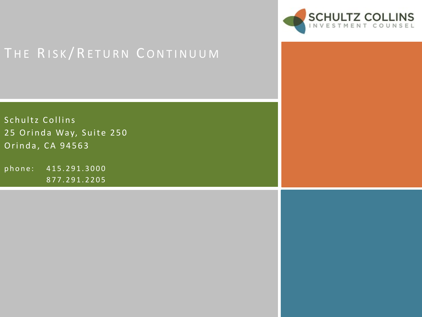

Schultz Collins 25 Orinda Way, Suite 250 Orinda, CA 94563

phone: 415.291.3000 877.291.2205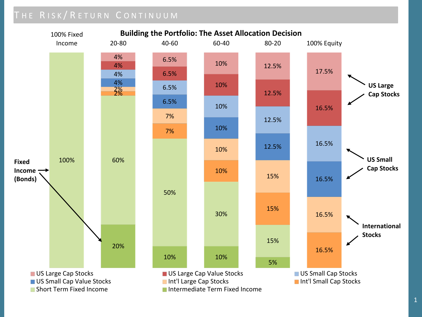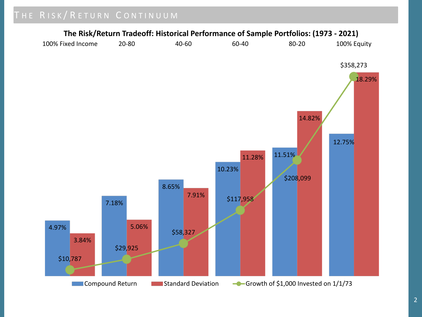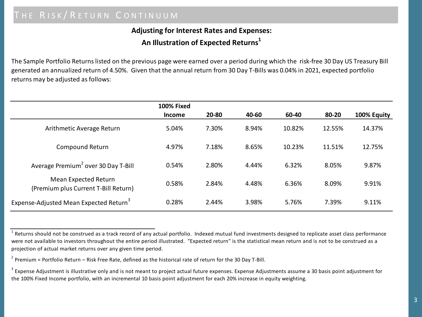### **Adjusting for Interest Rates and Expenses: An Illustration of Expected Returns1**

The Sample Portfolio Returns listed on the previous page were earned over a period during which the risk-free 30 Day US Treasury Bill generated an annualized return of 4.50%. Given that the annual return from 30 Day T-Bills was 0.04% in 2021, expected portfolio returns may be adjusted as follows:

|                                                              | <b>100% Fixed</b> |       |       |        |        |             |
|--------------------------------------------------------------|-------------------|-------|-------|--------|--------|-------------|
|                                                              | <b>Income</b>     | 20-80 | 40-60 | 60-40  | 80-20  | 100% Equity |
| Arithmetic Average Return                                    | 5.04%             | 7.30% | 8.94% | 10.82% | 12.55% | 14.37%      |
| Compound Return                                              | 4.97%             | 7.18% | 8.65% | 10.23% | 11.51% | 12.75%      |
| Average Premium <sup>2</sup> over 30 Day T-Bill              | 0.54%             | 2.80% | 4.44% | 6.32%  | 8.05%  | 9.87%       |
| Mean Expected Return<br>(Premium plus Current T-Bill Return) | 0.58%             | 2.84% | 4.48% | 6.36%  | 8.09%  | 9.91%       |
| Expense-Adjusted Mean Expected Return <sup>3</sup>           | 0.28%             | 2.44% | 3.98% | 5.76%  | 7.39%  | 9.11%       |

 $^1$  Returns should not be construed as a track record of any actual portfolio. Indexed mutual fund investments designed to replicate asset class performance were not available to investors throughout the entire period illustrated. "Expected return" is the statistical mean return and is not to be construed as a projection of actual market returns over any given time period.

 $^2$  Premium = Portfolio Return – Risk Free Rate, defined as the historical rate of return for the 30 Day T-Bill.

 $^3$  Expense Adjustment is illustrative only and is not meant to project actual future expenses. Expense Adjustments assume a 30 basis point adjustment for the 100% Fixed Income portfolio, with an incremental 10 basis point adjustment for each 20% increase in equity weighting.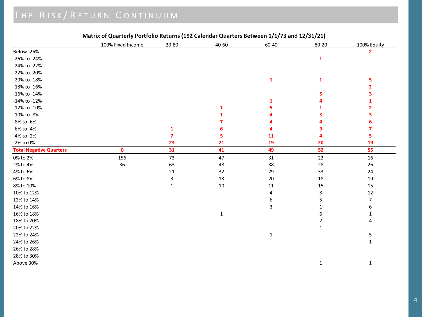|                                | 100% Fixed Income | $20 - 80$    | 40-60        | 60-40        | 80-20          | 100% Equity              |
|--------------------------------|-------------------|--------------|--------------|--------------|----------------|--------------------------|
| Below -26%                     |                   |              |              |              |                | $\overline{2}$           |
| -26% to -24%                   |                   |              |              |              | 1              |                          |
| -24% to -22%                   |                   |              |              |              |                |                          |
| -22% to -20%                   |                   |              |              |              |                |                          |
| -20% to -18%                   |                   |              |              | $\mathbf{1}$ | 1              | 5                        |
| -18% to -16%                   |                   |              |              |              |                | $\overline{2}$           |
| -16% to -14%                   |                   |              |              |              | 5              | з                        |
| -14% to -12%                   |                   |              |              | 1            |                |                          |
| -12% to -10%                   |                   |              | 1            |              |                | $\mathbf{2}$             |
| -10% to -8%                    |                   |              |              |              |                | з                        |
| -8% to -6%                     |                   |              |              |              |                | 6                        |
| -6% to -4%                     |                   | 1            |              |              | 9              | 7                        |
| -4% to -2%                     |                   |              | 5            | 11           | 4              | 5                        |
| -2% to 0%                      |                   | 23           | 21           | 19           | 20             | 19                       |
| <b>Total Negative Quarters</b> | $\mathbf{0}$      | 31           | 41           | 49           | 52             | 55                       |
| 0% to 2%                       | 156               | 73           | 47           | $31\,$       | $22\,$         | $16\,$                   |
| 2% to 4%                       | 36                | 63           | 48           | 38           | 28             | 26                       |
| 4% to 6%                       |                   | 21           | 32           | 29           | 33             | 24                       |
| 6% to 8%                       |                   | 3            | 13           | $20\,$       | 18             | 19                       |
| 8% to 10%                      |                   | $\mathbf{1}$ | $10\,$       | 11           | 15             | 15                       |
| 10% to 12%                     |                   |              |              | 4            | 8              | 12                       |
| 12% to 14%                     |                   |              |              | 6            | 5              | $\overline{\mathcal{I}}$ |
| 14% to 16%                     |                   |              |              | 3            |                | 6                        |
| 16% to 18%                     |                   |              | $\mathbf{1}$ |              | 6              | $\mathbf{1}$             |
| 18% to 20%                     |                   |              |              |              | $\overline{2}$ | 4                        |
| 20% to 22%                     |                   |              |              |              | $\mathbf{1}$   |                          |
| 22% to 24%                     |                   |              |              | $\mathbf{1}$ |                | 5                        |
| 24% to 26%                     |                   |              |              |              |                | $\mathbf{1}$             |
| 26% to 28%                     |                   |              |              |              |                |                          |
| 28% to 30%                     |                   |              |              |              |                |                          |
| Above 30%                      |                   |              |              |              | $\mathbf{1}$   | $\mathbf{1}$             |

#### **Matrix of Quarterly Portfolio Returns (192 Calendar Quarters Between 1/1/73 and 12/31/21)**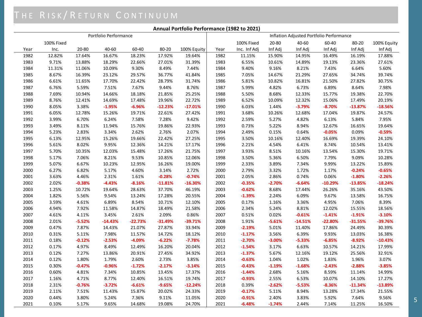#### **Annual Portfolio Performance (1982 to 2021)**

|      | Portfolio Performance |          |           |           |           | Inflation Adjusted Portfolio Performance |      |              |          |           |           |           |             |
|------|-----------------------|----------|-----------|-----------|-----------|------------------------------------------|------|--------------|----------|-----------|-----------|-----------|-------------|
|      | 100% Fixed            |          |           |           |           |                                          |      | 100% Fixed   | 20-80    | 40-60     | 60-40     | 80-20     | 100% Equity |
| Year | Inc.                  | 20-80    | 40-60     | 60-40     | 80-20     | 100% Equity                              | Year | Inc. Inf Adj | Inf Adj  | Inf Adj   | Inf Adj   | Inf Adj   | Inf Adj     |
| 1982 | 12.82%                | 17.64%   | 16.67%    | 18.23%    | 17.92%    | 19.64%                                   | 1982 | 11.15%       | 15.90%   | 14.95%    | 16.49%    | 16.19%    | 17.88%      |
| 1983 | 9.71%                 | 13.88%   | 18.29%    | 22.66%    | 27.01%    | 31.39%                                   | 1983 | 6.55%        | 10.61%   | 14.89%    | 19.13%    | 23.36%    | 27.61%      |
| 1984 | 11.31%                | 11.06%   | 10.09%    | 9.30%     | 8.49%     | 7.44%                                    | 1984 | 9.40%        | 9.16%    | 8.21%     | 7.43%     | 6.64%     | 5.60%       |
| 1985 | 8.67%                 | 16.39%   | 23.12%    | 29.57%    | 36.77%    | 41.84%                                   | 1985 | 7.05%        | 14.67%   | 21.29%    | 27.65%    | 34.74%    | 39.74%      |
| 1986 | 6.61%                 | 11.65%   | 17.70%    | 22.42%    | 28.79%    | 31.74%                                   | 1986 | 5.81%        | 10.82%   | 16.81%    | 21.50%    | 27.82%    | 30.75%      |
| 1987 | 6.76%                 | 5.59%    | 7.51%     | 7.67%     | 9.44%     | 8.76%                                    | 1987 | 5.99%        | 4.82%    | 6.73%     | 6.89%     | 8.64%     | 7.98%       |
| 1988 | 7.69%                 | 10.94%   | 14.66%    | 18.18%    | 21.85%    | 25.25%                                   | 1988 | 5.50%        | 8.68%    | 12.33%    | 15.77%    | 19.38%    | 22.70%      |
| 1989 | 8.76%                 | 12.41%   | 14.69%    | 17.48%    | 19.96%    | 22.72%                                   | 1989 | 6.52%        | 10.09%   | 12.32%    | 15.06%    | 17.49%    | 20.19%      |
| 1990 | 8.05%                 | 3.38%    | $-1.95%$  | $-6.96%$  | $-12.23%$ | $-17.01%$                                | 1990 | 6.03%        | 1.44%    | $-3.79%$  | $-8.70%$  | $-13.87%$ | $-18.56%$   |
| 1991 | 6.05%                 | 12.78%   | 15.26%    | 19.71%    | 22.61%    | 27.42%                                   | 1991 | 3.68%        | 10.26%   | 12.68%    | 17.04%    | 19.87%    | 24.57%      |
| 1992 | 3.99%                 | 6.70%    | 6.24%     | 7.58%     | 7.28%     | 9.42%                                    | 1992 | 2.59%        | 5.27%    | 4.82%     | 6.13%     | 5.84%     | 7.95%       |
| 1993 | 3.49%                 | 8.11%    | 11.94%    | 15.76%    | 19.86%    | 22.93%                                   | 1993 | 0.73%        | 5.22%    | 8.94%     | 12.67%    | 16.65%    | 19.64%      |
| 1994 | 5.23%                 | 2.83%    | 3.34%     | 2.62%     | 2.76%     | 2.07%                                    | 1994 | 2.49%        | 0.15%    | 0.64%     | $-0.05%$  | 0.09%     | $-0.59%$    |
| 1995 | 6.13%                 | 12.95%   | 15.26%    | 19.66%    | 22.42%    | 27.25%                                   | 1995 | 3.50%        | 10.16%   | 12.40%    | 16.69%    | 19.39%    | 24.10%      |
| 1996 | 5.61%                 | 8.02%    | 9.95%     | 12.36%    | 14.21%    | 17.17%                                   | 1996 | 2.21%        | 4.54%    | 6.41%     | 8.74%     | 10.54%    | 13.41%      |
| 1997 | 5.70%                 | 10.35%   | 12.03%    | 15.48%    | 17.26%    | 21.75%                                   | 1997 | 3.93%        | 8.51%    | 10.16%    | 13.54%    | 15.30%    | 19.71%      |
| 1998 | 5.17%                 | 7.06%    | 8.21%     | 9.53%     | 10.85%    | 12.06%                                   | 1998 | 3.50%        | 5.36%    | 6.50%     | 7.79%     | 9.09%     | 10.28%      |
| 1999 | 5.07%                 | 6.67%    | 10.23%    | 12.95%    | 16.26%    | 19.00%                                   | 1999 | 2.33%        | 3.89%    | 7.34%     | 9.99%     | 13.22%    | 15.89%      |
| 2000 | 6.27%                 | 6.82%    | 5.17%     | 4.60%     | 3.14%     | 2.72%                                    | 2000 | 2.79%        | 3.32%    | 1.72%     | 1.17%     | $-0.24%$  | $-0.65%$    |
| 2001 | 3.63%                 | 4.46%    | 2.31%     | 1.61%     | $-0.28%$  | $-0.74%$                                 | 2001 | 2.05%        | 2.86%    | 0.74%     | 0.06%     | $-1.80%$  | $-2.26%$    |
| 2002 | 2.02%                 | $-0.38%$ | $-4.43%$  | $-8.16%$  | $-11.81%$ | $-16.30%$                                | 2002 | $-0.35%$     | $-2.70%$ | $-6.64%$  | $-10.29%$ | $-13.85%$ | $-18.24%$   |
| 2003 | 1.25%                 | 10.72%   | 19.64%    | 28.63%    | 37.70%    | 46.19%                                   | 2003 | $-0.62%$     | 8.68%    | 17.44%    | 26.26%    | 35.16%    | 43.50%      |
| 2004 | 1.82%                 | 5.56%    | 9.54%     | 13.24%    | 17.28%    | 20.55%                                   | 2004 | $-1.39%$     | 2.24%    | 6.09%     | 9.67%     | 13.58%    | 16.75%      |
| 2005 | 3.59%                 | 4.61%    | 6.89%     | 8.54%     | 10.71%    | 12.10%                                   | 2005 | 0.17%        | 1.16%    | 3.36%     | 4.95%     | 7.06%     | 8.39%       |
| 2006 | 4.94%                 | 7.92%    | 11.58%    | 14.87%    | 18.49%    | 21.58%                                   | 2006 | 2.34%        | 5.24%    | 8.81%     | 12.02%    | 15.55%    | 18.56%      |
| 2007 | 4.61%                 | 4.11%    | 3.45%     | 2.61%     | 2.09%     | 0.86%                                    | 2007 | 0.51%        | 0.02%    | $-0.61%$  | $-1.41%$  | $-1.91%$  | $-3.10%$    |
| 2008 | 2.01%                 | $-5.52%$ | $-14.43%$ | $-22.73%$ | $-31.49%$ | $-39.71%$                                | 2008 | 1.91%        | $-5.61%$ | $-14.51%$ | $-22.80%$ | $-31.55%$ | -39.76%     |
| 2009 | 0.47%                 | 7.87%    | 14.43%    | 21.07%    | 27.87%    | 33.94%                                   | 2009 | $-2.19%$     | 5.01%    | 11.40%    | 17.86%    | 24.49%    | 30.39%      |
| 2010 | 0.31%                 | 5.11%    | 7.98%     | 11.57%    | 14.72%    | 18.12%                                   | 2010 | $-1.17%$     | 3.56%    | 6.39%     | 9.93%     | 13.03%    | 16.38%      |
| 2011 | 0.18%                 | $-0.12%$ | $-2.53%$  | $-4.09%$  | $-6.22%$  | $-7.78%$                                 | 2011 | $-2.70%$     | $-3.00%$ | $-5.33%$  | $-6.85%$  | $-8.92%$  | $-10.43%$   |
| 2012 | 0.17%                 | 4.97%    | 8.49%     | 12.49%    | 16.20%    | 20.04%                                   | 2012 | $-1.54%$     | 3.17%    | 6.63%     | 10.57%    | 14.21%    | 17.99%      |
| 2013 | 0.12%                 | 7.27%    | 13.86%    | 20.91%    | 27.45%    | 34.92%                                   | 2013 | $-1.37%$     | 5.67%    | 12.16%    | 19.12%    | 25.56%    | 32.91%      |
| 2014 | 0.12%                 | 1.80%    | 1.79%     | 2.60%     | 2.73%     | 3.85%                                    | 2014 | $-0.63%$     | 1.04%    | 1.02%     | 1.83%     | 1.96%     | 3.07%       |
| 2015 | 0.30%                 | $-0.47%$ | $-0.96%$  | $-1.72%$  | $-2.17%$  | $-3.14%$                                 | 2015 | $-0.43%$     | $-1.19%$ | $-1.68%$  | $-2.43%$  | $-2.88%$  | $-3.85%$    |
| 2016 | 0.60%                 | 4.81%    | 7.34%     | 10.85%    | 13.45%    | 17.37%                                   | 2016 | $-1.44%$     | 2.68%    | 5.16%     | 8.59%     | 11.14%    | 14.99%      |
| 2017 | 1.16%                 | 4.71%    | 8.77%     | 12.40%    | 16.51%    | 19.74%                                   | 2017 | $-0.93%$     | 2.55%    | 6.53%     | 10.07%    | 14.10%    | 17.27%      |
| 2018 | 2.31%                 | $-0.76%$ | $-3.72%$  | $-6.61%$  | $-9.65%$  | $-12.24%$                                | 2018 | 0.39%        | $-2.62%$ | $-5.53%$  | $-8.36%$  | $-11.34%$ | $-13.89%$   |
| 2019 | 2.11%                 | 7.51%    | 11.43%    | 15.87%    | 20.02%    | 24.33%                                   | 2019 | $-0.17%$     | 5.11%    | 8.94%     | 13.28%    | 17.34%    | 21.55%      |
| 2020 | 0.44%                 | 3.80%    | 5.24%     | 7.36%     | 9.11%     | 11.05%                                   | 2020 | $-0.91%$     | 2.40%    | 3.83%     | 5.92%     | 7.64%     | 9.56%       |
| 2021 | 0.10%                 | 5.17%    | 9.65%     | 14.68%    | 19.08%    | 24.70%                                   | 2021 | $-6.48%$     | $-1.74%$ | 2.44%     | 7.14%     | 11.25%    | 16.50%      |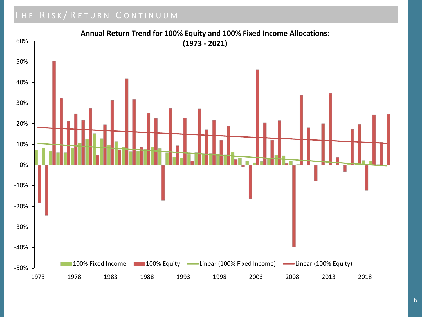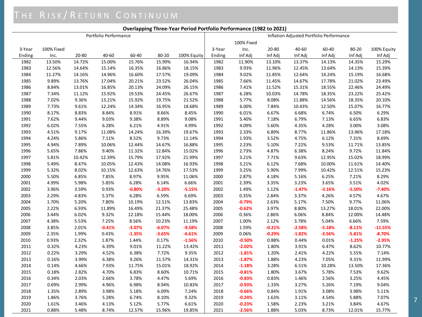#### **Overlapping Three-Year Period Portfolio Performance (1982 to 2021)**

| Portfolio Performance |            |        |          |          | Inflation Adjusted Portfolio Performance |             |        |            |          |          |          |          |             |
|-----------------------|------------|--------|----------|----------|------------------------------------------|-------------|--------|------------|----------|----------|----------|----------|-------------|
|                       |            |        |          |          |                                          |             |        | 100% Fixed |          |          |          |          |             |
| 3-Year                | 100% Fixed |        |          |          |                                          |             | 3-Year | Inc.       | 20-80    | 40-60    | 60-40    | 80-20    | 100% Equity |
| Ending                | Inc.       | 20-80  | 40-60    | 60-40    | 80-20                                    | 100% Equity | Ending | Inf Adj    | Inf Adj  | Inf Adj  | Inf Adj  | Inf Adj  | Inf Adj     |
| 1982                  | 13.50%     | 14.72% | 15.00%   | 15.76%   | 15.99%                                   | 16.94%      | 1982   | 11.90%     | 13.10%   | 13.37%   | 14.13%   | 14.35%   | 15.29%      |
| 1983                  | 12.56%     | 14.64% | 15.14%   | 16.35%   | 16.86%                                   | 18.15%      | 1983   | 9.93%      | 11.96%   | 12.45%   | 13.64%   | 14.13%   | 15.39%      |
| 1984                  | 11.27%     | 14.16% | 14.96%   | 16.60%   | 17.57%                                   | 19.09%      | 1984   | 9.02%      | 11.85%   | 12.64%   | 14.24%   | 15.19%   | 16.68%      |
| 1985                  | 9.89%      | 13.76% | 17.04%   | 20.21%   | 23.52%                                   | 26.04%      | 1985   | 7.66%      | 11.45%   | 14.67%   | 17.78%   | 21.02%   | 23.49%      |
| 1986                  | 8.84%      | 13.01% | 16.85%   | 20.13%   | 24.09%                                   | 26.15%      | 1986   | 7.41%      | 11.52%   | 15.31%   | 18.55%   | 22.46%   | 24.49%      |
| 1987                  | 7.34%      | 11.12% | 15.92%   | 19.53%   | 24.45%                                   | 26.67%      | 1987   | 6.28%      | 10.03%   | 14.78%   | 18.35%   | 23.22%   | 25.42%      |
| 1988                  | 7.02%      | 9.36%  | 13.21%   | 15.92%   | 19.75%                                   | 21.52%      | 1988   | 5.77%      | 8.08%    | 11.88%   | 14.56%   | 18.35%   | 20.10%      |
| 1989                  | 7.73%      | 9.61%  | 12.24%   | 14.34%   | 16.95%                                   | 18.68%      | 1989   | 6.00%      | 7.84%    | 10.43%   | 12.50%   | 15.07%   | 16.77%      |
| 1990                  | 8.17%      | 8.83%  | 8.84%    | 8.91%    | 8.66%                                    | 8.45%       | 1990   | 6.01%      | 6.67%    | 6.68%    | 6.74%    | 6.50%    | 6.29%       |
| 1991                  | 7.62%      | 9.44%  | 9.03%    | 9.38%    | 8.89%                                    | 9.08%       | 1991   | 5.40%      | 7.18%    | 6.79%    | 7.13%    | 6.65%    | 6.83%       |
| 1992                  | 6.02%      | 7.55%  | 6.28%    | 6.21%    | 4.91%                                    | 4.99%       | 1992   | 4.09%      | 5.60%    | 4.35%    | 4.28%    | 3.00%    | 3.08%       |
| 1993                  | 4.51%      | 9.17%  | 11.08%   | 14.24%   | 16.39%                                   | 19.67%      | 1993   | 2.33%      | 6.89%    | 8.77%    | 11.86%   | 13.96%   | 17.18%      |
| 1994                  | 4.24%      | 5.86%  | 7.11%    | 8.52%    | 9.73%                                    | 11.14%      | 1994   | 1.93%      | 3.52%    | 4.75%    | 6.12%    | 7.31%    | 8.69%       |
| 1995                  | 4.94%      | 7.89%  | 10.06%   | 12.44%   | 14.67%                                   | 16.88%      | 1995   | 2.23%      | 5.10%    | 7.22%    | 9.53%    | 11.71%   | 13.85%      |
| 1996                  | 5.65%      | 7.86%  | 9.40%    | 11.32%   | 12.84%                                   | 15.02%      | 1996   | 2.73%      | 4.87%    | 6.38%    | 8.24%    | 9.72%    | 11.84%      |
| 1997                  | 5.81%      | 10.42% | 12.39%   | 15.79%   | 17.92%                                   | 21.99%      | 1997   | 3.21%      | 7.71%    | 9.63%    | 12.95%   | 15.02%   | 18.99%      |
| 1998                  | 5.49%      | 8.47%  | 10.05%   | 12.43%   | 14.08%                                   | 16.93%      | 1998   | 3.21%      | 6.12%    | 7.68%    | 10.00%   | 11.61%   | 14.40%      |
| 1999                  | 5.32%      | 8.02%  | 10.15%   | 12.63%   | 14.76%                                   | 17.53%      | 1999   | 3.25%      | 5.90%    | 7.99%    | 10.42%   | 12.51%   | 15.23%      |
| 2000                  | 5.50%      | 6.85%  | 7.85%    | 8.97%    | 9.95%                                    | 11.06%      | 2000   | 2.87%      | 4.18%    | 5.16%    | 6.25%    | 7.21%    | 8.29%       |
| 2001                  | 4.99%      | 5.98%  | 5.85%    | 6.28%    | 6.14%                                    | 6.66%       | 2001   | 2.39%      | 3.35%    | 3.23%    | 3.65%    | 3.51%    | 4.02%       |
| 2002                  | 3.96%      | 3.59%  | 0.93%    | $-0.80%$ | $-3.20%$                                 | $-5.15%$    | 2002   | 1.49%      | 1.12%    | $-1.47%$ | $-3.16%$ | $-5.50%$ | $-7.40%$    |
| 2003                  | 2.29%      | 4.83%  | 5.37%    | 6.28%    | 6.59%                                    | 6.69%       | 2003   | 0.35%      | 2.84%    | 3.37%    | 4.26%    | 4.57%    | 4.67%       |
| 2004                  | 1.70%      | 5.20%  | 7.80%    | 10.19%   | 12.51%                                   | 13.83%      | 2004   | $-0.79%$   | 2.63%    | 5.17%    | 7.50%    | 9.77%    | 11.06%      |
| 2005                  | 2.22%      | 6.93%  | 11.89%   | 16.49%   | 21.37%                                   | 25.48%      | 2005   | $-0.62%$   | 3.97%    | 8.80%    | 13.27%   | 18.01%   | 22.00%      |
| 2006                  | 3.44%      | 6.02%  | 9.32%    | 12.18%   | 15.44%                                   | 18.00%      | 2006   | 0.36%      | 2.86%    | 6.06%    | 8.84%    | 12.00%   | 14.48%      |
| 2007                  | 4.38%      | 5.53%  | 7.25%    | 8.56%    | 10.23%                                   | 11.19%      | 2007   | 1.00%      | 2.12%    | 3.78%    | 5.04%    | 6.66%    | 7.59%       |
| 2008                  | 3.85%      | 2.01%  | $-0.41%$ | $-3.07%$ | $-6.07%$                                 | $-9.58%$    | 2008   | 1.59%      | $-0.21%$ | $-2.58%$ | $-5.18%$ | $-8.11%$ | $-11.55%$   |
| 2009                  | 2.35%      | 1.99%  | 0.43%    | $-1.35%$ | $-3.65%$                                 | $-6.61%$    | 2009   | 0.06%      | $-0.29%$ | $-1.82%$ | $-3.56%$ | $-5.81%$ | $-8.70%$    |
| 2010                  | 0.93%      | 2.32%  | 1.87%    | 1.44%    | 0.17%                                    | $-1.56%$    | 2010   | $-0.50%$   | 0.88%    | 0.44%    | 0.01%    | $-1.25%$ | $-2.95%$    |
| 2011                  | 0.32%      | 4.23%  | 6.39%    | 9.01%    | 11.22%                                   | 13.42%      | 2011   | $-2.02%$   | 1.80%    | 3.91%    | 6.47%    | 8.62%    | 10.77%      |
| 2012                  | 0.22%      | 3.29%  | 4.52%    | 6.38%    | 7.72%                                    | 9.35%       | 2012   | $-1.81%$   | 1.20%    | 2.41%    | 4.22%    | 5.55%    | 7.14%       |
| 2013                  | 0.16%      | 3.99%  | 6.38%    | 9.26%    | 11.57%                                   | 14.31%      | 2013   | $-1.87%$   | 1.88%    | 4.23%    | 7.05%    | 9.31%    | 11.99%      |
| 2014                  | 0.14%      | 4.66%  | 7.93%    | 11.75%   | 15.01%                                   | 18.92%      | 2014   | $-1.18%$   | 3.28%    | 6.51%    | 10.28%   | 13.50%   | 17.36%      |
| 2015                  | 0.18%      | 2.82%  | 4.70%    | 6.83%    | 8.60%                                    | 10.71%      | 2015   | $-0.81%$   | 1.80%    | 3.67%    | 5.78%    | 7.53%    | 9.62%       |
| 2016                  | 0.34%      | 2.03%  | 2.66%    | 3.78%    | 4.47%                                    | 5.69%       | 2016   | $-0.83%$   | 0.83%    | 1.46%    | 2.56%    | 3.25%    | 4.45%       |
| 2017                  | 0.69%      | 2.99%  | 4.96%    | 6.98%    | 8.94%                                    | 10.83%      | 2017   | $-0.93%$   | 1.33%    | 3.27%    | 5.26%    | 7.19%    | 9.04%       |
| 2018                  | 1.35%      | 2.89%  | 3.98%    | 5.18%    | 6.09%                                    | 7.24%       | 2018   | $-0.66%$   | 0.84%    | 1.91%    | 3.08%    | 3.98%    | 5.11%       |
| 2019                  | 1.86%      | 3.76%  | 5.28%    | 6.74%    | 8.10%                                    | 9.32%       | 2019   | $-0.24%$   | 1.63%    | 3.11%    | 4.54%    | 5.88%    | 7.07%       |
| 2020                  | 1.61%      | 3.46%  | 4.13%    | 5.12%    | 5.77%                                    | 6.61%       | 2020   | $-0.23%$   | 1.58%    | 2.23%    | 3.21%    | 3.84%    | 4.67%       |
| 2021                  | 0.88%      | 5.48%  | 8.74%    | 12.57%   | 15.96%                                   | 19.85%      | 2021   | $-2.56%$   | 1.88%    | 5.03%    | 8.73%    | 12.01%   | 15.77%      |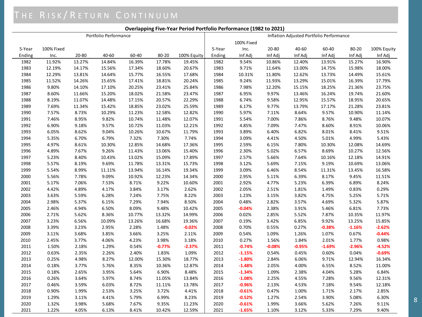#### **Overlapping Five-Year Period Portfolio Performance (1982 to 2021)**

| Portfolio Performance |            |        |        |        | Inflation Adjusted Portfolio Performance |             |        |            |          |          |          |          |             |
|-----------------------|------------|--------|--------|--------|------------------------------------------|-------------|--------|------------|----------|----------|----------|----------|-------------|
|                       |            |        |        |        |                                          |             |        | 100% Fixed |          |          |          |          |             |
| 5-Year                | 100% Fixed |        |        |        |                                          |             | 5-Year | Inc.       | 20-80    | 40-60    | 60-40    | 80-20    | 100% Equity |
| Ending                | Inc.       | 20-80  | 40-60  | 60-40  | 80-20                                    | 100% Equity | Ending | Inf Adj    | Inf Adj  | Inf Adj  | Inf Adj  | Inf Adj  | Inf Adj     |
| 1982                  | 11.92%     | 13.27% | 14.84% | 16.39% | 17.78%                                   | 19.45%      | 1982   | 9.54%      | 10.86%   | 12.40%   | 13.91%   | 15.27%   | 16.90%      |
| 1983                  | 12.19%     | 14.17% | 15.56% | 17.34% | 18.60%                                   | 20.67%      | 1983   | 9.71%      | 11.64%   | 13.00%   | 14.75%   | 15.98%   | 18.00%      |
| 1984                  | 12.29%     | 13.81% | 14.64% | 15.77% | 16.55%                                   | 17.68%      | 1984   | 10.31%     | 11.80%   | 12.62%   | 13.73%   | 14.49%   | 15.61%      |
| 1985                  | 11.52%     | 14.26% | 15.65% | 17.41% | 18.81%                                   | 20.24%      | 1985   | 9.24%      | 11.93%   | 13.29%   | 15.01%   | 16.39%   | 17.79%      |
| 1986                  | 9.80%      | 14.10% | 17.10% | 20.25% | 23.41%                                   | 25.84%      | 1986   | 7.98%      | 12.20%   | 15.15%   | 18.25%   | 21.36%   | 23.75%      |
| 1987                  | 8.60%      | 11.66% | 15.20% | 18.02% | 21.58%                                   | 23.47%      | 1987   | 6.95%      | 9.97%    | 13.46%   | 16.24%   | 19.74%   | 21.60%      |
| 1988                  | 8.19%      | 11.07% | 14.48% | 17.15% | 20.57%                                   | 22.29%      | 1988   | 6.74%      | 9.58%    | 12.95%   | 15.57%   | 18.95%   | 20.65%      |
| 1989                  | 7.69%      | 11.34% | 15.42% | 18.85% | 23.02%                                   | 25.59%      | 1989   | 6.17%      | 9.77%    | 13.79%   | 17.17%   | 21.28%   | 23.81%      |
| 1990                  | 7.57%      | 8.73%  | 10.29% | 11.23% | 12.58%                                   | 12.82%      | 1990   | 5.97%      | 7.11%    | 8.64%    | 9.57%    | 10.90%   | 11.14%      |
| 1991                  | 7.46%      | 8.95%  | 9.82%  | 10.74% | 11.48%                                   | 12.07%      | 1991   | 5.54%      | 7.00%    | 7.86%    | 8.76%    | 9.48%    | 10.07%      |
| 1992                  | 6.90%      | 9.18%  | 9.57%  | 10.72% | 11.03%                                   | 12.21%      | 1992   | 4.85%      | 7.09%    | 7.47%    | 8.60%    | 8.91%    | 10.06%      |
| 1993                  | 6.05%      | 8.62%  | 9.04%  | 10.26% | 10.67%                                   | 11.79%      | 1993   | 3.89%      | 6.40%    | 6.82%    | 8.01%    | 8.41%    | 9.51%       |
| 1994                  | 5.35%      | 6.70%  | 6.79%  | 7.32%  | 7.30%                                    | 7.74%       | 1994   | 3.09%      | 4.41%    | 4.50%    | 5.01%    | 4.99%    | 5.43%       |
| 1995                  | 4.97%      | 8.61%  | 10.30% | 12.85% | 14.68%                                   | 17.36%      | 1995   | 2.59%      | 6.15%    | 7.80%    | 10.30%   | 12.08%   | 14.69%      |
| 1996                  | 4.89%      | 7.67%  | 9.26%  | 11.43% | 13.06%                                   | 15.40%      | 1996   | 2.30%      | 5.02%    | 6.57%    | 8.69%    | 10.27%   | 12.56%      |
| 1997                  | 5.23%      | 8.40%  | 10.43% | 13.02% | 15.09%                                   | 17.89%      | 1997   | 2.57%      | 5.66%    | 7.64%    | 10.16%   | 12.18%   | 14.91%      |
| 1998                  | 5.57%      | 8.19%  | 9.69%  | 11.78% | 13.31%                                   | 15.73%      | 1998   | 3.12%      | 5.69%    | 7.15%    | 9.19%    | 10.69%   | 13.06%      |
| 1999                  | 5.54%      | 8.99%  | 11.11% | 13.94% | 16.14%                                   | 19.34%      | 1999   | 3.09%      | 6.46%    | 8.54%    | 11.31%   | 13.45%   | 16.58%      |
| 2000                  | 5.56%      | 7.78%  | 9.09%  | 10.92% | 12.23%                                   | 14.34%      | 2000   | 2.95%      | 5.11%    | 6.39%    | 8.17%    | 9.45%    | 11.51%      |
| 2001                  | 5.17%      | 7.06%  | 7.53%  | 8.71%  | 9.22%                                    | 10.60%      | 2001   | 2.92%      | 4.77%    | 5.23%    | 6.39%    | 6.89%    | 8.24%       |
| 2002                  | 4.42%      | 4.89%  | 4.17%  | 3.84%  | 3.17%                                    | 2.62%       | 2002   | 2.05%      | 2.51%    | 1.81%    | 1.49%    | 0.83%    | 0.29%       |
| 2003                  | 3.63%      | 5.59%  | 6.28%  | 7.24%  | 7.75%                                    | 8.22%       | 2003   | 1.23%      | 3.15%    | 3.82%    | 4.75%    | 5.25%    | 5.71%       |
| 2004                  | 2.98%      | 5.37%  | 6.15%  | 7.29%  | 7.94%                                    | 8.50%       | 2004   | 0.48%      | 2.82%    | 3.57%    | 4.69%    | 5.32%    | 5.87%       |
| 2005                  | 2.46%      | 4.94%  | 6.50%  | 8.09%  | 9.48%                                    | 10.42%      | 2005   | $-0.04%$   | 2.38%    | 3.91%    | 5.46%    | 6.81%    | 7.73%       |
| 2006                  | 2.71%      | 5.62%  | 8.36%  | 10.77% | 13.32%                                   | 14.99%      | 2006   | 0.02%      | 2.85%    | 5.52%    | 7.87%    | 10.35%   | 11.97%      |
| 2007                  | 3.23%      | 6.56%  | 10.09% | 13.26% | 16.68%                                   | 19.36%      | 2007   | 0.19%      | 3.42%    | 6.85%    | 9.92%    | 13.25%   | 15.85%      |
| 2008                  | 3.39%      | 3.23%  | 2.95%  | 2.28%  | 1.48%                                    | $-0.02%$    | 2008   | 0.70%      | 0.55%    | 0.27%    | $-0.38%$ | $-1.16%$ | $-2.62%$    |
| 2009                  | 3.11%      | 3.68%  | 3.85%  | 3.66%  | 3.25%                                    | 2.11%       | 2009   | 0.54%      | 1.09%    | 1.26%    | 1.07%    | 0.67%    | $-0.44%$    |
| 2010                  | 2.45%      | 3.77%  | 4.06%  | 4.23%  | 3.98%                                    | 3.18%       | 2010   | 0.27%      | 1.56%    | 1.84%    | 2.01%    | 1.77%    | 0.98%       |
| 2011                  | 1.50%      | 2.18%  | 1.29%  | 0.54%  | $-0.77%$                                 | $-2.37%$    | 2011   | $-0.74%$   | $-0.08%$ | $-0.95%$ | $-1.69%$ | $-2.96%$ | $-4.52%$    |
| 2012                  | 0.63%      | 2.35%  | 2.26%  | 2.40%  | 1.83%                                    | 1.09%       | 2012   | $-1.15%$   | 0.54%    | 0.45%    | 0.60%    | 0.04%    | $-0.69%$    |
| 2013                  | 0.25%      | 4.98%  | 8.27%  | 12.00% | 15.30%                                   | 18.77%      | 2013   | $-1.80%$   | 2.84%    | 6.06%    | 9.71%    | 12.94%   | 16.34%      |
| 2014                  | 0.18%      | 3.77%  | 5.76%  | 8.35%  | 10.36%                                   | 12.87%      | 2014   | $-1.48%$   | 2.05%    | 4.00%    | 6.55%    | 8.52%    | 11.00%      |
| 2015                  | 0.18%      | 2.65%  | 3.95%  | 5.64%  | 6.90%                                    | 8.48%       | 2015   | $-1.34%$   | 1.09%    | 2.38%    | 4.04%    | 5.28%    | 6.84%       |
| 2016                  | 0.26%      | 3.64%  | 5.97%  | 8.74%  | 11.05%                                   | 13.84%      | 2016   | $-1.08%$   | 2.25%    | 4.55%    | 7.28%    | 9.56%    | 12.31%      |
| 2017                  | 0.46%      | 3.59%  | 6.03%  | 8.72%  | 11.11%                                   | 13.78%      | 2017   | $-0.96%$   | 2.13%    | 4.53%    | 7.18%    | 9.54%    | 12.18%      |
| 2018                  | 0.90%      | 1.99%  | 2.53%  | 3.25%  | 3.72%                                    | 4.41%       | 2018   | $-0.61%$   | 0.47%    | 1.00%    | 1.71%    | 2.17%    | 2.85%       |
| 2019                  | 1.29%      | 3.11%  | 4.41%  | 5.79%  | 6.99%                                    | 8.23%       | 2019   | $-0.52%$   | 1.27%    | 2.54%    | 3.90%    | 5.08%    | 6.30%       |
| 2020                  | 1.32%      | 3.98%  | 5.68%  | 7.67%  | 9.35%                                    | 11.23%      | 2020   | $-0.61%$   | 1.99%    | 3.66%    | 5.62%    | 7.26%    | 9.11%       |
| 2021                  | 1.22%      | 4.05%  | 6.13%  | 8.41%  | 10.42%                                   | 12.59%      | 2021   | $-1.65%$   | 1.10%    | 3.12%    | 5.33%    | 7.29%    | 9.40%       |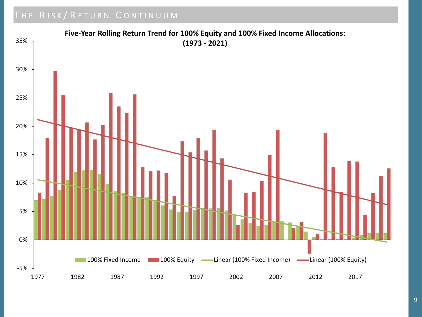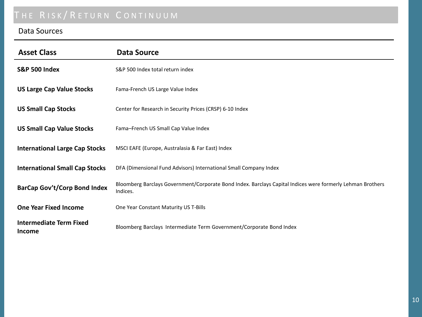#### Data Sources

| <b>Asset Class</b>                       | <b>Data Source</b>                                                                                                     |
|------------------------------------------|------------------------------------------------------------------------------------------------------------------------|
| <b>S&amp;P 500 Index</b>                 | S&P 500 Index total return index                                                                                       |
| <b>US Large Cap Value Stocks</b>         | Fama-French US Large Value Index                                                                                       |
| <b>US Small Cap Stocks</b>               | Center for Research in Security Prices (CRSP) 6-10 Index                                                               |
| <b>US Small Cap Value Stocks</b>         | Fama-French US Small Cap Value Index                                                                                   |
| <b>International Large Cap Stocks</b>    | MSCI EAFE (Europe, Australasia & Far East) Index                                                                       |
| <b>International Small Cap Stocks</b>    | DFA (Dimensional Fund Advisors) International Small Company Index                                                      |
| <b>BarCap Gov't/Corp Bond Index</b>      | Bloomberg Barclays Government/Corporate Bond Index. Barclays Capital Indices were formerly Lehman Brothers<br>Indices. |
| <b>One Year Fixed Income</b>             | One Year Constant Maturity US T-Bills                                                                                  |
| <b>Intermediate Term Fixed</b><br>Income | Bloomberg Barclays Intermediate Term Government/Corporate Bond Index                                                   |